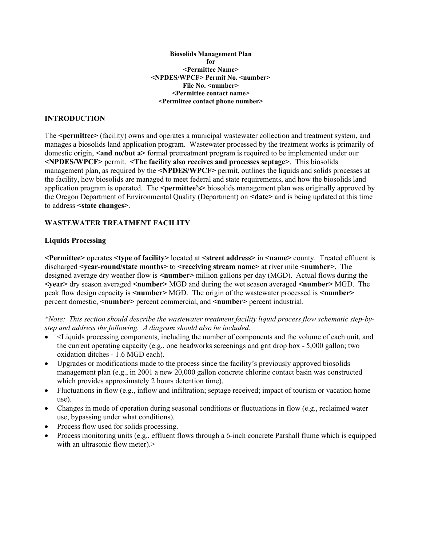Biosolids Management Plan for <Permittee Name> <NPDES/WPCF> Permit No. <number> File No. <number> <Permittee contact name> <Permittee contact phone number>

#### INTRODUCTION

The <permittee> (facility) owns and operates a municipal wastewater collection and treatment system, and manages a biosolids land application program. Wastewater processed by the treatment works is primarily of domestic origin, <and no/but a> formal pretreatment program is required to be implemented under our <NPDES/WPCF> permit. <The facility also receives and processes septage>. This biosolids management plan, as required by the <NPDES/WPCF> permit, outlines the liquids and solids processes at the facility, how biosolids are managed to meet federal and state requirements, and how the biosolids land application program is operated. The  $\epsilon$  **permittee's** biosolids management plan was originally approved by the Oregon Department of Environmental Quality (Department) on  $\leq$  date> and is being updated at this time to address <state changes>.

#### WASTEWATER TREATMENT FACILITY

#### Liquids Processing

 $\leq$ Permittee> operates  $\leq$ type of facility> located at  $\leq$ treet address> in  $\leq$ name> county. Treated effluent is discharged <year-round/state months> to <receiving stream name> at river mile <number>. The designed average dry weather flow is  $\leq$ number $\geq$  million gallons per day (MGD). Actual flows during the  $\le$ year> dry season averaged  $\le$ number> MGD and during the wet season averaged  $\le$ number> MGD. The peak flow design capacity is <number>MGD. The origin of the wastewater processed is <number> percent domestic, <number> percent commercial, and <number> percent industrial.

\*Note: This section should describe the wastewater treatment facility liquid process flow schematic step-bystep and address the following. A diagram should also be included.

- <Liquids processing components, including the number of components and the volume of each unit, and the current operating capacity (e.g., one headworks screenings and grit drop box - 5,000 gallon; two oxidation ditches - 1.6 MGD each).
- Upgrades or modifications made to the process since the facility's previously approved biosolids management plan (e.g., in 2001 a new 20,000 gallon concrete chlorine contact basin was constructed which provides approximately 2 hours detention time).
- Fluctuations in flow (e.g., inflow and infiltration; septage received; impact of tourism or vacation home use).
- Changes in mode of operation during seasonal conditions or fluctuations in flow (e.g., reclaimed water use, bypassing under what conditions).
- Process flow used for solids processing.
- Process monitoring units (e.g., effluent flows through a 6-inch concrete Parshall flume which is equipped with an ultrasonic flow meter).>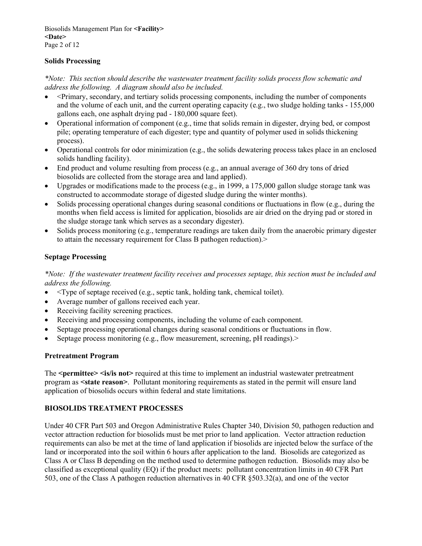## Solids Processing

\*Note: This section should describe the wastewater treatment facility solids process flow schematic and address the following. A diagram should also be included.

- <Primary, secondary, and tertiary solids processing components, including the number of components and the volume of each unit, and the current operating capacity (e.g., two sludge holding tanks - 155,000 gallons each, one asphalt drying pad - 180,000 square feet).
- Operational information of component (e.g., time that solids remain in digester, drying bed, or compost pile; operating temperature of each digester; type and quantity of polymer used in solids thickening process).
- Operational controls for odor minimization (e.g., the solids dewatering process takes place in an enclosed solids handling facility).
- End product and volume resulting from process (e.g., an annual average of 360 dry tons of dried biosolids are collected from the storage area and land applied).
- Upgrades or modifications made to the process (e.g., in 1999, a 175,000 gallon sludge storage tank was constructed to accommodate storage of digested sludge during the winter months).
- Solids processing operational changes during seasonal conditions or fluctuations in flow (e.g., during the months when field access is limited for application, biosolids are air dried on the drying pad or stored in the sludge storage tank which serves as a secondary digester).
- Solids process monitoring (e.g., temperature readings are taken daily from the anaerobic primary digester to attain the necessary requirement for Class B pathogen reduction).>

## Septage Processing

\*Note: If the wastewater treatment facility receives and processes septage, this section must be included and address the following.

- $\bullet$   $\leq$ Type of septage received (e.g., septic tank, holding tank, chemical toilet).
- Average number of gallons received each year.
- Receiving facility screening practices.
- Receiving and processing components, including the volume of each component.
- Septage processing operational changes during seasonal conditions or fluctuations in flow.
- Septage process monitoring (e.g., flow measurement, screening, pH readings).>

#### Pretreatment Program

The <permittee> <is/is not> required at this time to implement an industrial wastewater pretreatment program as <state reason>. Pollutant monitoring requirements as stated in the permit will ensure land application of biosolids occurs within federal and state limitations.

# BIOSOLIDS TREATMENT PROCESSES

Under 40 CFR Part 503 and Oregon Administrative Rules Chapter 340, Division 50, pathogen reduction and vector attraction reduction for biosolids must be met prior to land application. Vector attraction reduction requirements can also be met at the time of land application if biosolids are injected below the surface of the land or incorporated into the soil within 6 hours after application to the land. Biosolids are categorized as Class A or Class B depending on the method used to determine pathogen reduction. Biosolids may also be classified as exceptional quality (EQ) if the product meets: pollutant concentration limits in 40 CFR Part 503, one of the Class A pathogen reduction alternatives in 40 CFR §503.32(a), and one of the vector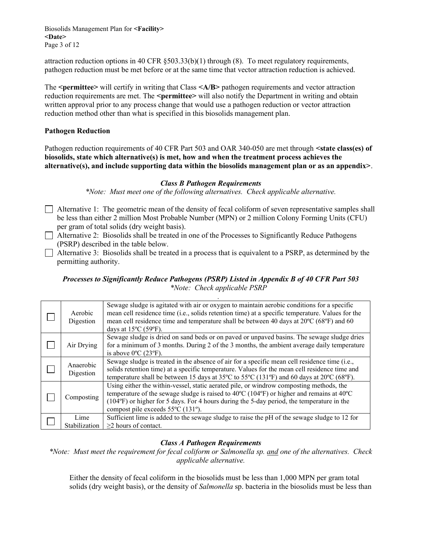Biosolids Management Plan for <Facility> <Date> Page 3 of 12

attraction reduction options in 40 CFR  $\S 503.33(b)(1)$  through  $(8)$ . To meet regulatory requirements, pathogen reduction must be met before or at the same time that vector attraction reduction is achieved.

The  $\epsilon$  = permittee> will certify in writing that Class  $\langle A/B \rangle$  pathogen requirements and vector attraction reduction requirements are met. The <permittee> will also notify the Department in writing and obtain written approval prior to any process change that would use a pathogen reduction or vector attraction reduction method other than what is specified in this biosolids management plan.

## Pathogen Reduction

Pathogen reduction requirements of 40 CFR Part 503 and OAR 340-050 are met through <state class(es) of biosolids, state which alternative(s) is met, how and when the treatment process achieves the alternative(s), and include supporting data within the biosolids management plan or as an appendix>.

#### Class B Pathogen Requirements

\*Note: Must meet one of the following alternatives. Check applicable alternative.

 $\Box$  Alternative 1: The geometric mean of the density of fecal coliform of seven representative samples shall be less than either 2 million Most Probable Number (MPN) or 2 million Colony Forming Units (CFU) per gram of total solids (dry weight basis).

 Alternative 2: Biosolids shall be treated in one of the Processes to Significantly Reduce Pathogens (PSRP) described in the table below.

Alternative 3: Biosolids shall be treated in a process that is equivalent to a PSRP, as determined by the permitting authority.

## Processes to Significantly Reduce Pathogens (PSRP) Listed in Appendix B of 40 CFR Part 503 \*Note: Check applicable PSRP

| Aerobic<br>Digestion   | Sewage sludge is agitated with air or oxygen to maintain aerobic conditions for a specific<br>mean cell residence time (i.e., solids retention time) at a specific temperature. Values for the<br>mean cell residence time and temperature shall be between 40 days at 20°C (68°F) and 60<br>days at $15^{\circ}$ C (59 $^{\circ}$ F). |
|------------------------|----------------------------------------------------------------------------------------------------------------------------------------------------------------------------------------------------------------------------------------------------------------------------------------------------------------------------------------|
| Air Drying             | Sewage sludge is dried on sand beds or on paved or unpaved basins. The sewage sludge dries<br>for a minimum of 3 months. During 2 of the 3 months, the ambient average daily temperature<br>is above $0^{\circ}$ C (23 $^{\circ}$ F).                                                                                                  |
| Anaerobic<br>Digestion | Sewage sludge is treated in the absence of air for a specific mean cell residence time (i.e.,<br>solids retention time) at a specific temperature. Values for the mean cell residence time and<br>temperature shall be between 15 days at 35°C to 55°C (131°F) and 60 days at 20°C (68°F).                                             |
| Composting             | Using either the within-vessel, static aerated pile, or windrow composting methods, the<br>temperature of the sewage sludge is raised to 40°C (104°F) or higher and remains at 40°C<br>(104°F) or higher for 5 days. For 4 hours during the 5-day period, the temperature in the<br>compost pile exceeds 55°C (131°).                  |
| Lime<br>Stabilization  | Sufficient lime is added to the sewage sludge to raise the pH of the sewage sludge to 12 for<br>$\geq$ 2 hours of contact.                                                                                                                                                                                                             |

#### Class A Pathogen Requirements

\*Note: Must meet the requirement for fecal coliform or Salmonella sp. and one of the alternatives. Check applicable alternative.

Either the density of fecal coliform in the biosolids must be less than 1,000 MPN per gram total solids (dry weight basis), or the density of *Salmonella* sp. bacteria in the biosolids must be less than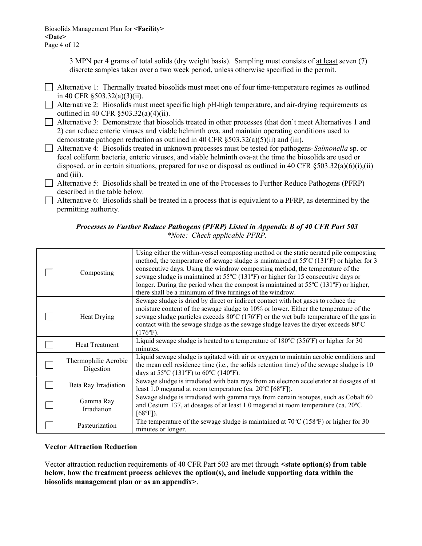3 MPN per 4 grams of total solids (dry weight basis). Sampling must consists of at least seven (7) discrete samples taken over a two week period, unless otherwise specified in the permit.

 Alternative 1: Thermally treated biosolids must meet one of four time-temperature regimes as outlined in 40 CFR §503.32(a)(3)(ii).

 Alternative 2: Biosolids must meet specific high pH-high temperature, and air-drying requirements as outlined in 40 CFR §503.32(a)(4)(ii).

 Alternative 3: Demonstrate that biosolids treated in other processes (that don't meet Alternatives 1 and 2) can reduce enteric viruses and viable helminth ova, and maintain operating conditions used to demonstrate pathogen reduction as outlined in 40 CFR §503.32(a)(5)(ii) and (iii).

Alternative 4: Biosolids treated in unknown processes must be tested for pathogens-Salmonella sp. or fecal coliform bacteria, enteric viruses, and viable helminth ova-at the time the biosolids are used or disposed, or in certain situations, prepared for use or disposal as outlined in 40 CFR  $\delta$ 503.32(a)(6)(i),(ii) and (iii).

 Alternative 5: Biosolids shall be treated in one of the Processes to Further Reduce Pathogens (PFRP) described in the table below.

 Alternative 6: Biosolids shall be treated in a process that is equivalent to a PFRP, as determined by the permitting authority.

# Processes to Further Reduce Pathogens (PFRP) Listed in Appendix B of 40 CFR Part 503 \*Note: Check applicable PFRP.

| Composting                        | Using either the within-vessel composting method or the static aerated pile composting<br>method, the temperature of sewage sludge is maintained at 55°C (131°F) or higher for 3<br>consecutive days. Using the windrow composting method, the temperature of the<br>sewage sludge is maintained at 55°C (131°F) or higher for 15 consecutive days or<br>longer. During the period when the compost is maintained at 55°C (131°F) or higher,<br>there shall be a minimum of five turnings of the windrow. |
|-----------------------------------|-----------------------------------------------------------------------------------------------------------------------------------------------------------------------------------------------------------------------------------------------------------------------------------------------------------------------------------------------------------------------------------------------------------------------------------------------------------------------------------------------------------|
| Heat Drying                       | Sewage sludge is dried by direct or indirect contact with hot gases to reduce the<br>moisture content of the sewage sludge to 10% or lower. Either the temperature of the<br>sewage sludge particles exceeds 80°C (176°F) or the wet bulb temperature of the gas in<br>contact with the sewage sludge as the sewage sludge leaves the dryer exceeds 80°C<br>$(176^{\circ}F).$                                                                                                                             |
| <b>Heat Treatment</b>             | Liquid sewage sludge is heated to a temperature of $180^{\circ}$ C (356 $^{\circ}$ F) or higher for 30<br>minutes.                                                                                                                                                                                                                                                                                                                                                                                        |
| Thermophilic Aerobic<br>Digestion | Liquid sewage sludge is agitated with air or oxygen to maintain aerobic conditions and<br>the mean cell residence time (i.e., the solids retention time) of the sewage sludge is 10<br>days at 55°C (131°F) to 60°C (140°F).                                                                                                                                                                                                                                                                              |
| Beta Ray Irradiation              | Sewage sludge is irradiated with beta rays from an electron accelerator at dosages of at<br>least 1.0 megarad at room temperature (ca. $20^{\circ}$ C [68 $^{\circ}$ F]).                                                                                                                                                                                                                                                                                                                                 |
| Gamma Ray<br>Irradiation          | Sewage sludge is irradiated with gamma rays from certain isotopes, such as Cobalt 60<br>and Cesium 137, at dosages of at least 1.0 megarad at room temperature (ca. 20°C<br>$[68^{\circ}F]$ ).                                                                                                                                                                                                                                                                                                            |
| Pasteurization                    | The temperature of the sewage sludge is maintained at 70°C (158°F) or higher for 30<br>minutes or longer.                                                                                                                                                                                                                                                                                                                                                                                                 |

#### Vector Attraction Reduction

Vector attraction reduction requirements of 40 CFR Part 503 are met through  $\leq$ **state option(s) from table** below, how the treatment process achieves the option(s), and include supporting data within the biosolids management plan or as an appendix>.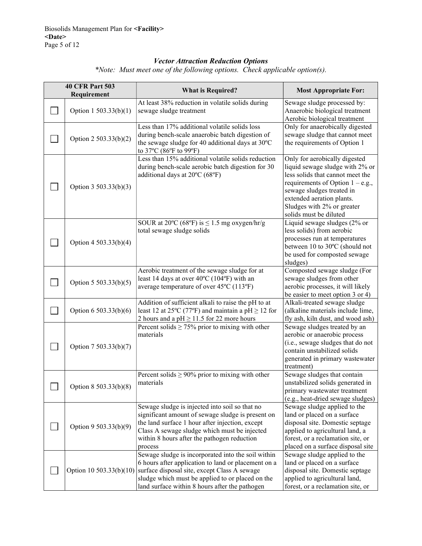# Vector Attraction Reduction Options

| <b>40 CFR Part 503</b> |                         | <b>What is Required?</b>                                                                                                                                                                                                                                         | <b>Most Appropriate For:</b>                                                                                                                                                                                                                                 |  |
|------------------------|-------------------------|------------------------------------------------------------------------------------------------------------------------------------------------------------------------------------------------------------------------------------------------------------------|--------------------------------------------------------------------------------------------------------------------------------------------------------------------------------------------------------------------------------------------------------------|--|
| Requirement            |                         |                                                                                                                                                                                                                                                                  |                                                                                                                                                                                                                                                              |  |
|                        | Option 1 503.33(b)(1)   | At least 38% reduction in volatile solids during<br>sewage sludge treatment                                                                                                                                                                                      | Sewage sludge processed by:<br>Anaerobic biological treatment<br>Aerobic biological treatment                                                                                                                                                                |  |
|                        | Option 2 503.33(b)(2)   | Less than 17% additional volatile solids loss<br>during bench-scale anaerobic batch digestion of<br>the sewage sludge for 40 additional days at 30°C<br>to 37°C (86°F to 99°F)                                                                                   | Only for anaerobically digested<br>sewage sludge that cannot meet<br>the requirements of Option 1                                                                                                                                                            |  |
|                        | Option 3 503.33(b)(3)   | Less than 15% additional volatile solids reduction<br>during bench-scale aerobic batch digestion for 30<br>additional days at 20°C (68°F)                                                                                                                        | Only for aerobically digested<br>liquid sewage sludge with 2% or<br>less solids that cannot meet the<br>requirements of Option $1 - e.g.,$<br>sewage sludges treated in<br>extended aeration plants.<br>Sludges with 2% or greater<br>solids must be diluted |  |
|                        | Option 4 503.33(b)(4)   | SOUR at 20°C (68°F) is $\leq$ 1.5 mg oxygen/hr/g<br>total sewage sludge solids                                                                                                                                                                                   | Liquid sewage sludges (2% or<br>less solids) from aerobic<br>processes run at temperatures<br>between 10 to 30°C (should not<br>be used for composted sewage<br>sludges)                                                                                     |  |
|                        | Option 5 503.33(b)(5)   | Aerobic treatment of the sewage sludge for at<br>least 14 days at over 40°C (104°F) with an<br>average temperature of over 45°C (113°F)                                                                                                                          | Composted sewage sludge (For<br>sewage sludges from other<br>aerobic processes, it will likely<br>be easier to meet option 3 or 4)                                                                                                                           |  |
|                        | Option 6 503.33(b)(6)   | Addition of sufficient alkali to raise the pH to at<br>least 12 at 25 <sup>o</sup> C (77 <sup>o</sup> F) and maintain a pH $\geq$ 12 for<br>2 hours and a pH $\geq$ 11.5 for 22 more hours                                                                       | Alkali-treated sewage sludge<br>(alkaline materials include lime,<br>fly ash, kiln dust, and wood ash)                                                                                                                                                       |  |
|                        | Option 7 503.33(b)(7)   | Percent solids $\geq$ 75% prior to mixing with other<br>materials                                                                                                                                                                                                | Sewage sludges treated by an<br>aerobic or anaerobic process<br>(i.e., sewage sludges that do not<br>contain unstabilized solids<br>generated in primary wastewater<br>treatment)                                                                            |  |
|                        | Option 8 503.33(b)(8)   | Percent solids $\geq 90\%$ prior to mixing with other<br>materials                                                                                                                                                                                               | Sewage sludges that contain<br>unstabilized solids generated in<br>primary wastewater treatment<br>(e.g., heat-dried sewage sludges)                                                                                                                         |  |
|                        | Option 9 503.33(b)(9)   | Sewage sludge is injected into soil so that no<br>significant amount of sewage sludge is present on<br>the land surface 1 hour after injection, except<br>Class A sewage sludge which must be injected<br>within 8 hours after the pathogen reduction<br>process | Sewage sludge applied to the<br>land or placed on a surface<br>disposal site. Domestic septage<br>applied to agricultural land, a<br>forest, or a reclamation site, or<br>placed on a surface disposal site                                                  |  |
|                        | Option 10 503.33(b)(10) | Sewage sludge is incorporated into the soil within<br>6 hours after application to land or placement on a<br>surface disposal site, except Class A sewage<br>sludge which must be applied to or placed on the<br>land surface within 8 hours after the pathogen  | Sewage sludge applied to the<br>land or placed on a surface<br>disposal site. Domestic septage<br>applied to agricultural land,<br>forest, or a reclamation site, or                                                                                         |  |

\*Note: Must meet one of the following options. Check applicable option(s).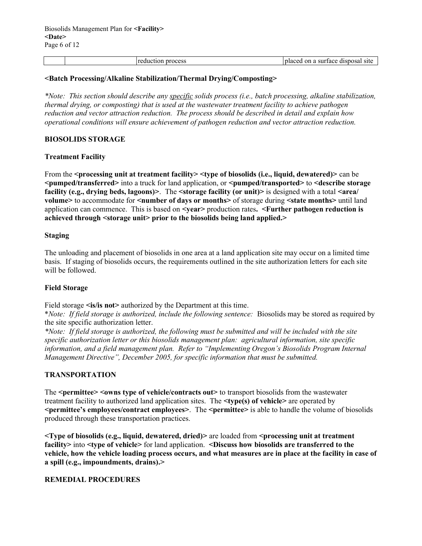| reduction process | placed on a surface | : disposal site |
|-------------------|---------------------|-----------------|
|                   |                     |                 |

#### <Batch Processing/Alkaline Stabilization/Thermal Drying/Composting>

\*Note: This section should describe any specific solids process (i.e., batch processing, alkaline stabilization, thermal drying, or composting) that is used at the wastewater treatment facility to achieve pathogen reduction and vector attraction reduction. The process should be described in detail and explain how operational conditions will ensure achievement of pathogen reduction and vector attraction reduction.

#### BIOSOLIDS STORAGE

#### Treatment Facility

From the <processing unit at treatment facility> <type of biosolids (i.e., liquid, dewatered)> can be <pumped/transferred> into a truck for land application, or <pumped/transported> to <describe storage facility (e.g., drying beds, lagoons) $\geq$ . The  $\leq$  forage facility (or unit) $\geq$  is designed with a total  $\leq$  area/ volume> to accommodate for <number of days or months> of storage during <state months> until land application can commence. This is based on  $\leq$  rear  $\geq$  production rates.  $\leq$  **Further pathogen reduction is** achieved through <storage unit> prior to the biosolids being land applied.>

#### Staging

The unloading and placement of biosolids in one area at a land application site may occur on a limited time basis. If staging of biosolids occurs, the requirements outlined in the site authorization letters for each site will be followed.

#### Field Storage

Field storage  $\leq$  is/is not authorized by the Department at this time.

\*Note: If field storage is authorized, include the following sentence: Biosolids may be stored as required by the site specific authorization letter.

\*Note: If field storage is authorized, the following must be submitted and will be included with the site specific authorization letter or this biosolids management plan: agricultural information, site specific information, and a field management plan. Refer to "Implementing Oregon's Biosolids Program Internal Management Directive", December 2005, for specific information that must be submitted.

#### TRANSPORTATION

The <permittee> <owns type of vehicle/contracts out> to transport biosolids from the wastewater treatment facility to authorized land application sites. The **stype(s)** of vehicle> are operated by <permittee's employees/contract employees>. The <permittee> is able to handle the volume of biosolids produced through these transportation practices.

<Type of biosolids (e.g., liquid, dewatered, dried)> are loaded from <processing unit at treatment facility> into <type of vehicle> for land application. <Discuss how biosolids are transferred to the vehicle, how the vehicle loading process occurs, and what measures are in place at the facility in case of a spill (e.g., impoundments, drains).>

#### REMEDIAL PROCEDURES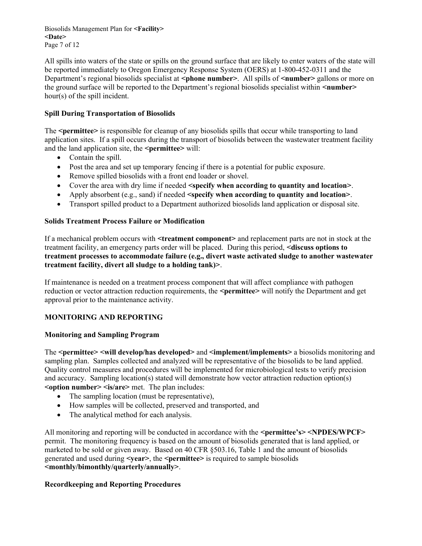Biosolids Management Plan for <Facility> <Date> Page 7 of 12

All spills into waters of the state or spills on the ground surface that are likely to enter waters of the state will be reported immediately to Oregon Emergency Response System (OERS) at 1-800-452-0311 and the Department's regional biosolids specialist at <phone number>. All spills of <number> gallons or more on the ground surface will be reported to the Department's regional biosolids specialist within <number> hour(s) of the spill incident.

# Spill During Transportation of Biosolids

The <permittee> is responsible for cleanup of any biosolids spills that occur while transporting to land application sites. If a spill occurs during the transport of biosolids between the wastewater treatment facility and the land application site, the  $\leq$  permittee $\geq$  will:

- Contain the spill.
- Post the area and set up temporary fencing if there is a potential for public exposure.
- Remove spilled biosolids with a front end loader or shovel.
- Cover the area with dry lime if needed  $\leq$ specify when according to quantity and location>.
- Apply absorbent (e.g., sand) if needed  $\leq$  specify when according to quantity and location  $\geq$ .
- Transport spilled product to a Department authorized biosolids land application or disposal site.

#### Solids Treatment Process Failure or Modification

If a mechanical problem occurs with <treatment component> and replacement parts are not in stock at the treatment facility, an emergency parts order will be placed. During this period, <discuss options to treatment processes to accommodate failure (e.g., divert waste activated sludge to another wastewater treatment facility, divert all sludge to a holding tank)>.

If maintenance is needed on a treatment process component that will affect compliance with pathogen reduction or vector attraction reduction requirements, the <permittee> will notify the Department and get approval prior to the maintenance activity.

#### MONITORING AND REPORTING

#### Monitoring and Sampling Program

The <permittee> <will develop/has developed> and <implement/implements> a biosolids monitoring and sampling plan. Samples collected and analyzed will be representative of the biosolids to be land applied. Quality control measures and procedures will be implemented for microbiological tests to verify precision and accuracy. Sampling location(s) stated will demonstrate how vector attraction reduction option(s)  $\leq$ option number $\geq$   $\leq$ is/are $\geq$  met. The plan includes:

- The sampling location (must be representative),
- How samples will be collected, preserved and transported, and
- The analytical method for each analysis.

All monitoring and reporting will be conducted in accordance with the <permittee's> <NPDES/WPCF> permit. The monitoring frequency is based on the amount of biosolids generated that is land applied, or marketed to be sold or given away. Based on 40 CFR §503.16, Table 1 and the amount of biosolids generated and used during <year>, the <permittee> is required to sample biosolids <monthly/bimonthly/quarterly/annually>.

#### Recordkeeping and Reporting Procedures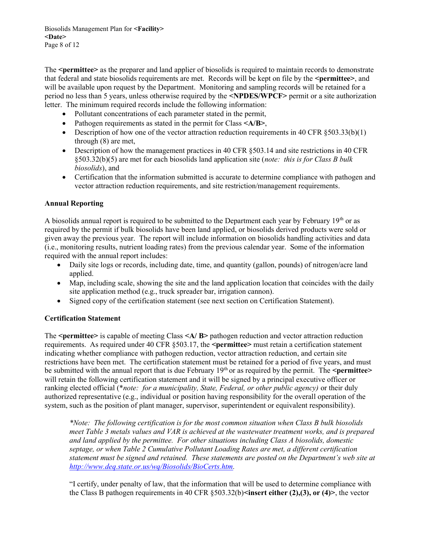Biosolids Management Plan for <Facility> <Date> Page 8 of 12

The <permittee> as the preparer and land applier of biosolids is required to maintain records to demonstrate that federal and state biosolids requirements are met. Records will be kept on file by the  $\epsilon$  permittee  $\epsilon$ , and will be available upon request by the Department. Monitoring and sampling records will be retained for a period no less than 5 years, unless otherwise required by the <NPDES/WPCF> permit or a site authorization letter. The minimum required records include the following information:

- Pollutant concentrations of each parameter stated in the permit,
- Pathogen requirements as stated in the permit for Class <A/B>,
- Description of how one of the vector attraction reduction requirements in 40 CFR  $\S 503.33(b)(1)$ through (8) are met,
- Description of how the management practices in 40 CFR §503.14 and site restrictions in 40 CFR §503.32(b)(5) are met for each biosolids land application site (note: this is for Class B bulk biosolids), and
- Certification that the information submitted is accurate to determine compliance with pathogen and vector attraction reduction requirements, and site restriction/management requirements.

#### Annual Reporting

A biosolids annual report is required to be submitted to the Department each year by February  $19<sup>th</sup>$  or as required by the permit if bulk biosolids have been land applied, or biosolids derived products were sold or given away the previous year. The report will include information on biosolids handling activities and data (i.e., monitoring results, nutrient loading rates) from the previous calendar year. Some of the information required with the annual report includes:

- Daily site logs or records, including date, time, and quantity (gallon, pounds) of nitrogen/acre land applied.
- Map, including scale, showing the site and the land application location that coincides with the daily site application method (e.g., truck spreader bar, irrigation cannon).
- Signed copy of the certification statement (see next section on Certification Statement).

#### Certification Statement

The  $\epsilon$  = the spermittee is capable of meeting Class  $\langle A \rangle$  B pathogen reduction and vector attraction reduction requirements. As required under 40 CFR  $\S 503.17$ , the  $\epsilon$  **permittee** must retain a certification statement indicating whether compliance with pathogen reduction, vector attraction reduction, and certain site restrictions have been met. The certification statement must be retained for a period of five years, and must be submitted with the annual report that is due February  $19<sup>th</sup>$  or as required by the permit. The  $\leq$ **permittee** will retain the following certification statement and it will be signed by a principal executive officer or ranking elected official (\**note: for a municipality, State, Federal, or other public agency*) or their duly authorized representative (e.g., individual or position having responsibility for the overall operation of the system, such as the position of plant manager, supervisor, superintendent or equivalent responsibility).

\*Note: The following certification is for the most common situation when Class B bulk biosolids meet Table 3 metals values and VAR is achieved at the wastewater treatment works, and is prepared and land applied by the permittee. For other situations including Class A biosolids, domestic septage, or when Table 2 Cumulative Pollutant Loading Rates are met, a different certification statement must be signed and retained. These statements are posted on the Department's web site at http://www.deq.state.or.us/wq/Biosolids/BioCerts.htm.

"I certify, under penalty of law, that the information that will be used to determine compliance with the Class B pathogen requirements in 40 CFR  $\S 503.32(b)$  insert either (2),(3), or (4) >, the vector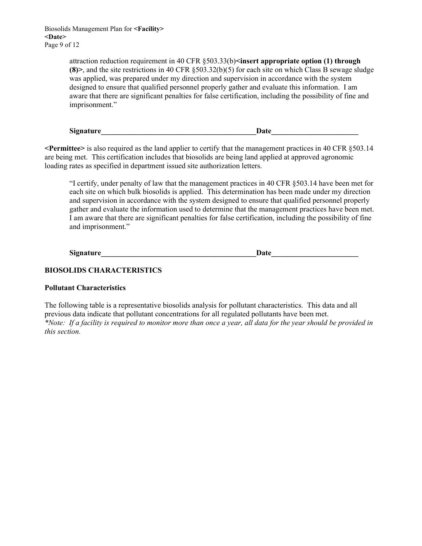Biosolids Management Plan for <Facility> <Date> Page 9 of 12

> attraction reduction requirement in 40 CFR §503.33(b)<insert appropriate option (1) through (8) and the site restrictions in 40 CFR  $\S 503.32(b)(5)$  for each site on which Class B sewage sludge was applied, was prepared under my direction and supervision in accordance with the system designed to ensure that qualified personnel properly gather and evaluate this information. I am aware that there are significant penalties for false certification, including the possibility of fine and imprisonment."

 $Signature$   $Date$   $Date$ 

<Permittee> is also required as the land applier to certify that the management practices in 40 CFR §503.14 are being met. This certification includes that biosolids are being land applied at approved agronomic loading rates as specified in department issued site authorization letters.

"I certify, under penalty of law that the management practices in 40 CFR §503.14 have been met for each site on which bulk biosolids is applied. This determination has been made under my direction and supervision in accordance with the system designed to ensure that qualified personnel properly gather and evaluate the information used to determine that the management practices have been met. I am aware that there are significant penalties for false certification, including the possibility of fine and imprisonment."

| <b>Signature</b> | Date |
|------------------|------|
|                  |      |

## BIOSOLIDS CHARACTERISTICS

#### Pollutant Characteristics

The following table is a representative biosolids analysis for pollutant characteristics. This data and all previous data indicate that pollutant concentrations for all regulated pollutants have been met. \*Note: If a facility is required to monitor more than once a year, all data for the year should be provided in this section.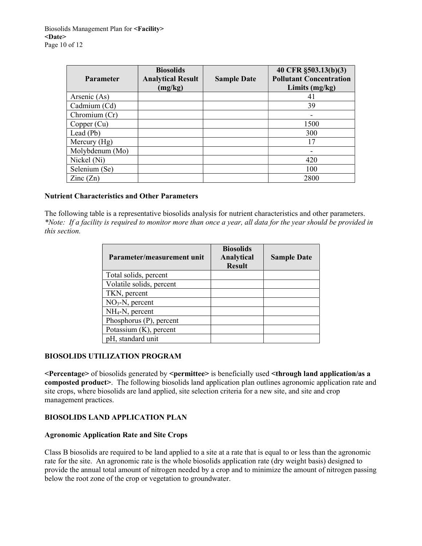| <b>Parameter</b>         | <b>Biosolids</b><br><b>Analytical Result</b><br>(mg/kg) | <b>Sample Date</b> | 40 CFR §503.13(b)(3)<br><b>Pollutant Concentration</b><br>Limits $(mg/kg)$ |
|--------------------------|---------------------------------------------------------|--------------------|----------------------------------------------------------------------------|
| Arsenic (As)             |                                                         |                    | 41                                                                         |
| Cadmium (Cd)             |                                                         |                    | 39                                                                         |
| Chromium (Cr)            |                                                         |                    |                                                                            |
| Copper (Cu)              |                                                         |                    | 1500                                                                       |
| Lead $(Pb)$              |                                                         |                    | 300                                                                        |
| Mercury $(Hg)$           |                                                         |                    | 17                                                                         |
| Molybdenum (Mo)          |                                                         |                    | -                                                                          |
| Nickel (Ni)              |                                                         |                    | 420                                                                        |
| Selenium (Se)            |                                                         |                    | 100                                                                        |
| $\text{Zinc}(\text{Zn})$ |                                                         |                    | 2800                                                                       |

#### Nutrient Characteristics and Other Parameters

The following table is a representative biosolids analysis for nutrient characteristics and other parameters. \*Note: If a facility is required to monitor more than once a year, all data for the year should be provided in this section.

| Parameter/measurement unit | <b>Biosolids</b><br>Analytical<br><b>Result</b> | <b>Sample Date</b> |
|----------------------------|-------------------------------------------------|--------------------|
| Total solids, percent      |                                                 |                    |
| Volatile solids, percent   |                                                 |                    |
| TKN, percent               |                                                 |                    |
| $NO3-N$ , percent          |                                                 |                    |
| $NH_4-N$ , percent         |                                                 |                    |
| Phosphorus (P), percent    |                                                 |                    |
| Potassium (K), percent     |                                                 |                    |
| pH, standard unit          |                                                 |                    |

#### BIOSOLIDS UTILIZATION PROGRAM

<Percentage> of biosolids generated by <permittee> is beneficially used <through land application/as a composted product>. The following biosolids land application plan outlines agronomic application rate and site crops, where biosolids are land applied, site selection criteria for a new site, and site and crop management practices.

# BIOSOLIDS LAND APPLICATION PLAN

#### Agronomic Application Rate and Site Crops

Class B biosolids are required to be land applied to a site at a rate that is equal to or less than the agronomic rate for the site. An agronomic rate is the whole biosolids application rate (dry weight basis) designed to provide the annual total amount of nitrogen needed by a crop and to minimize the amount of nitrogen passing below the root zone of the crop or vegetation to groundwater.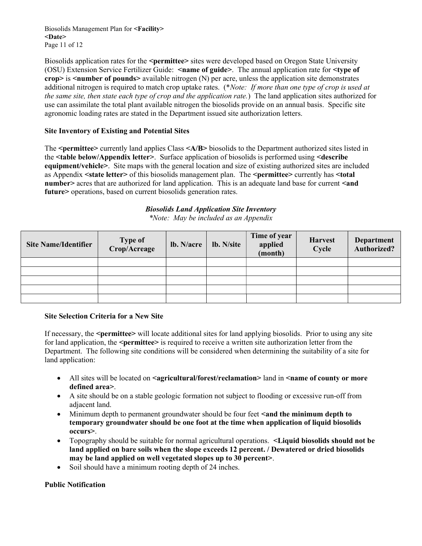Biosolids Management Plan for <Facility> <Date> Page 11 of 12

Biosolids application rates for the <permittee> sites were developed based on Oregon State University (OSU) Extension Service Fertilizer Guide: <name of guide>. The annual application rate for <type of  $\text{crop}\text{~}$  is  $\leq$  number of pounds $\geq$  available nitrogen (N) per acre, unless the application site demonstrates additional nitrogen is required to match crop uptake rates. (\*Note: If more than one type of crop is used at the same site, then state each type of crop and the application rate.) The land application sites authorized for use can assimilate the total plant available nitrogen the biosolids provide on an annual basis. Specific site agronomic loading rates are stated in the Department issued site authorization letters.

# Site Inventory of Existing and Potential Sites

The <permittee> currently land applies Class <A/B> biosolids to the Department authorized sites listed in the <table below/Appendix letter>. Surface application of biosolids is performed using <describe equipment/vehicle>. Site maps with the general location and size of existing authorized sites are included as Appendix <state letter> of this biosolids management plan. The <permittee> currently has <total number acres that are authorized for land application. This is an adequate land base for current  $\leq$  and future> operations, based on current biosolids generation rates.

# Biosolids Land Application Site Inventory

\*Note: May be included as an Appendix

| <b>Site Name/Identifier</b> | Type of<br>Crop/Acreage | lb. N/acre | lb. N/site | Time of year<br>applied<br>(month) | <b>Harvest</b><br>Cycle | <b>Department</b><br>Authorized? |
|-----------------------------|-------------------------|------------|------------|------------------------------------|-------------------------|----------------------------------|
|                             |                         |            |            |                                    |                         |                                  |
|                             |                         |            |            |                                    |                         |                                  |
|                             |                         |            |            |                                    |                         |                                  |
|                             |                         |            |            |                                    |                         |                                  |
|                             |                         |            |            |                                    |                         |                                  |

#### Site Selection Criteria for a New Site

If necessary, the <permittee> will locate additional sites for land applying biosolids. Prior to using any site for land application, the  $\leq$  permittee $\geq$  is required to receive a written site authorization letter from the Department. The following site conditions will be considered when determining the suitability of a site for land application:

- All sites will be located on  $\leq$  agricultural/forest/reclamation  $\geq$  land in  $\leq$  name of county or more defined area>.
- A site should be on a stable geologic formation not subject to flooding or excessive run-off from adjacent land.
- Minimum depth to permanent groundwater should be four feet <and the minimum depth to temporary groundwater should be one foot at the time when application of liquid biosolids occurs>.
- Topography should be suitable for normal agricultural operations. <**Liquid biosolids should not be** land applied on bare soils when the slope exceeds 12 percent. / Dewatered or dried biosolids may be land applied on well vegetated slopes up to 30 percent>.
- Soil should have a minimum rooting depth of 24 inches.

#### Public Notification